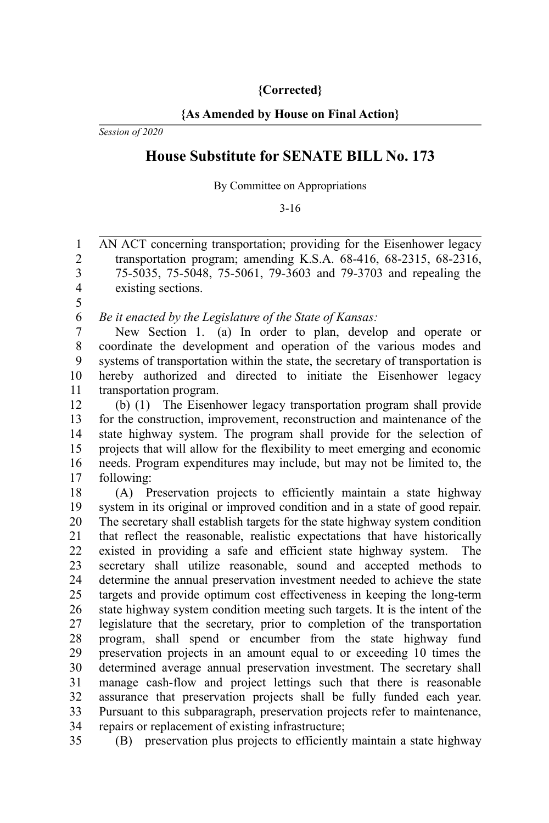## **{Corrected}**

## **{As Amended by House on Final Action}**

*Session of 2020*

## **House Substitute for SENATE BILL No. 173**

By Committee on Appropriations

3-16

AN ACT concerning transportation; providing for the Eisenhower legacy transportation program; amending K.S.A. 68-416, 68-2315, 68-2316, 75-5035, 75-5048, 75-5061, 79-3603 and 79-3703 and repealing the existing sections. 1 2 3 4

5

*Be it enacted by the Legislature of the State of Kansas:* 6

New Section 1. (a) In order to plan, develop and operate or coordinate the development and operation of the various modes and systems of transportation within the state, the secretary of transportation is hereby authorized and directed to initiate the Eisenhower legacy transportation program. 7 8 9 10 11

(b) (1) The Eisenhower legacy transportation program shall provide for the construction, improvement, reconstruction and maintenance of the state highway system. The program shall provide for the selection of projects that will allow for the flexibility to meet emerging and economic needs. Program expenditures may include, but may not be limited to, the following: 12 13 14 15 16 17

(A) Preservation projects to efficiently maintain a state highway system in its original or improved condition and in a state of good repair. The secretary shall establish targets for the state highway system condition that reflect the reasonable, realistic expectations that have historically existed in providing a safe and efficient state highway system. The secretary shall utilize reasonable, sound and accepted methods to determine the annual preservation investment needed to achieve the state targets and provide optimum cost effectiveness in keeping the long-term state highway system condition meeting such targets. It is the intent of the legislature that the secretary, prior to completion of the transportation program, shall spend or encumber from the state highway fund preservation projects in an amount equal to or exceeding 10 times the determined average annual preservation investment. The secretary shall manage cash-flow and project lettings such that there is reasonable assurance that preservation projects shall be fully funded each year. Pursuant to this subparagraph, preservation projects refer to maintenance, repairs or replacement of existing infrastructure; 18 19 20 21 22 23 24 25 26 27 28 29 30 31 32 33 34

(B) preservation plus projects to efficiently maintain a state highway

<sup>35</sup>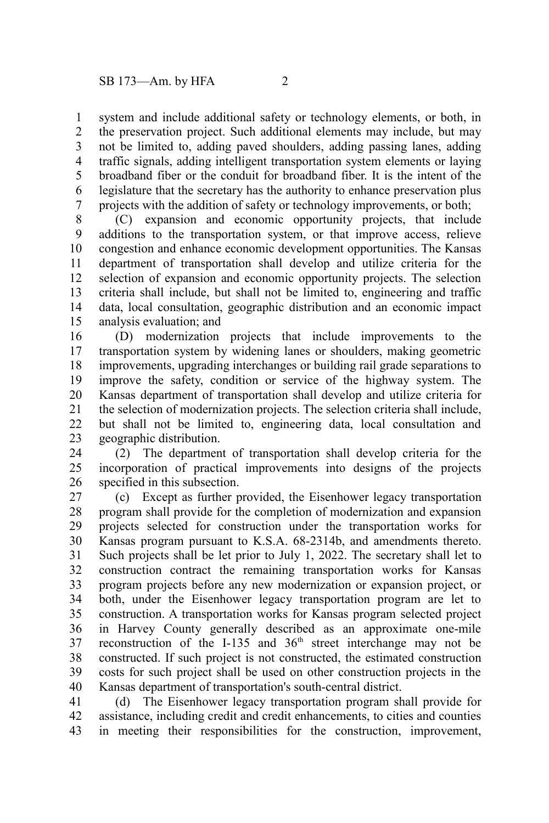system and include additional safety or technology elements, or both, in the preservation project. Such additional elements may include, but may not be limited to, adding paved shoulders, adding passing lanes, adding traffic signals, adding intelligent transportation system elements or laying broadband fiber or the conduit for broadband fiber. It is the intent of the legislature that the secretary has the authority to enhance preservation plus projects with the addition of safety or technology improvements, or both; 1 2 3 4 5 6 7

(C) expansion and economic opportunity projects, that include additions to the transportation system, or that improve access, relieve congestion and enhance economic development opportunities. The Kansas department of transportation shall develop and utilize criteria for the selection of expansion and economic opportunity projects. The selection criteria shall include, but shall not be limited to, engineering and traffic data, local consultation, geographic distribution and an economic impact analysis evaluation; and 8 9 10 11 12 13 14 15

(D) modernization projects that include improvements to the transportation system by widening lanes or shoulders, making geometric improvements, upgrading interchanges or building rail grade separations to improve the safety, condition or service of the highway system. The Kansas department of transportation shall develop and utilize criteria for the selection of modernization projects. The selection criteria shall include, but shall not be limited to, engineering data, local consultation and geographic distribution. 16 17 18 19 20 21 22 23

(2) The department of transportation shall develop criteria for the incorporation of practical improvements into designs of the projects specified in this subsection. 24 25 26

(c) Except as further provided, the Eisenhower legacy transportation program shall provide for the completion of modernization and expansion projects selected for construction under the transportation works for Kansas program pursuant to K.S.A. 68-2314b, and amendments thereto. Such projects shall be let prior to July 1, 2022. The secretary shall let to construction contract the remaining transportation works for Kansas program projects before any new modernization or expansion project, or both, under the Eisenhower legacy transportation program are let to construction. A transportation works for Kansas program selected project in Harvey County generally described as an approximate one-mile reconstruction of the I-135 and  $36<sup>th</sup>$  street interchange may not be constructed. If such project is not constructed, the estimated construction costs for such project shall be used on other construction projects in the Kansas department of transportation's south-central district. 27 28 29 30 31 32 33 34 35 36 37 38 39 40

(d) The Eisenhower legacy transportation program shall provide for assistance, including credit and credit enhancements, to cities and counties in meeting their responsibilities for the construction, improvement, 41 42 43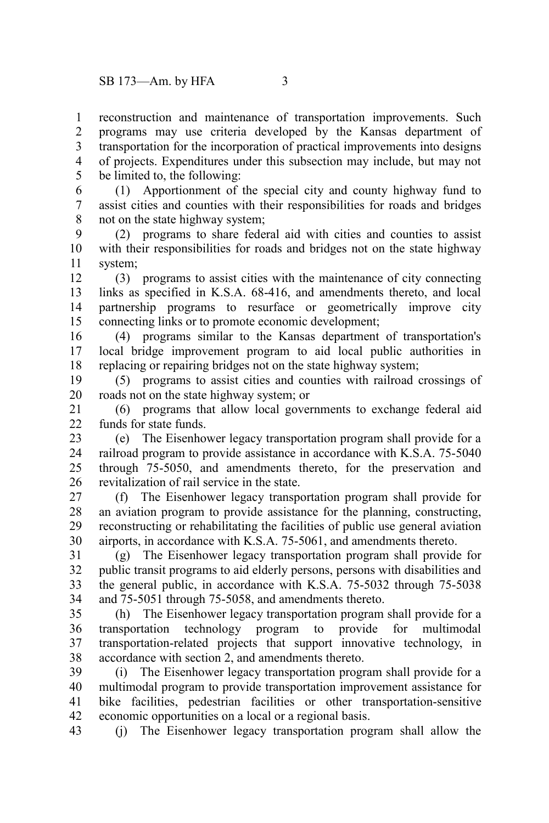reconstruction and maintenance of transportation improvements. Such programs may use criteria developed by the Kansas department of transportation for the incorporation of practical improvements into designs of projects. Expenditures under this subsection may include, but may not be limited to, the following: 1 2 3 4 5

(1) Apportionment of the special city and county highway fund to assist cities and counties with their responsibilities for roads and bridges not on the state highway system; 6 7 8

(2) programs to share federal aid with cities and counties to assist with their responsibilities for roads and bridges not on the state highway system; 9 10 11

(3) programs to assist cities with the maintenance of city connecting links as specified in K.S.A. 68-416, and amendments thereto, and local partnership programs to resurface or geometrically improve city connecting links or to promote economic development; 12 13 14 15

(4) programs similar to the Kansas department of transportation's local bridge improvement program to aid local public authorities in replacing or repairing bridges not on the state highway system; 16 17 18

(5) programs to assist cities and counties with railroad crossings of roads not on the state highway system; or 19 20

(6) programs that allow local governments to exchange federal aid funds for state funds. 21  $22$ 

(e) The Eisenhower legacy transportation program shall provide for a railroad program to provide assistance in accordance with K.S.A. 75-5040 through 75-5050, and amendments thereto, for the preservation and revitalization of rail service in the state. 23 24 25 26

(f) The Eisenhower legacy transportation program shall provide for an aviation program to provide assistance for the planning, constructing, reconstructing or rehabilitating the facilities of public use general aviation airports, in accordance with K.S.A. 75-5061, and amendments thereto. 27 28 29 30

(g) The Eisenhower legacy transportation program shall provide for public transit programs to aid elderly persons, persons with disabilities and the general public, in accordance with K.S.A. 75-5032 through 75-5038 and 75-5051 through 75-5058, and amendments thereto. 31 32 33 34

(h) The Eisenhower legacy transportation program shall provide for a transportation technology program to provide for multimodal transportation-related projects that support innovative technology, in accordance with section 2, and amendments thereto. 35 36 37 38

(i) The Eisenhower legacy transportation program shall provide for a multimodal program to provide transportation improvement assistance for bike facilities, pedestrian facilities or other transportation-sensitive economic opportunities on a local or a regional basis. 39 40 41 42

(j) The Eisenhower legacy transportation program shall allow the 43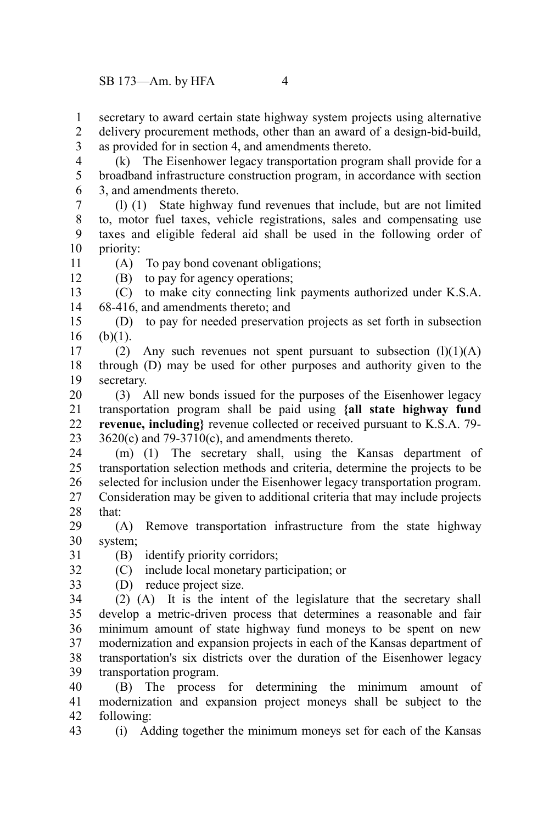secretary to award certain state highway system projects using alternative delivery procurement methods, other than an award of a design-bid-build, as provided for in section 4, and amendments thereto. 1 2 3

(k) The Eisenhower legacy transportation program shall provide for a broadband infrastructure construction program, in accordance with section 3, and amendments thereto. 4 5 6

(l) (1) State highway fund revenues that include, but are not limited to, motor fuel taxes, vehicle registrations, sales and compensating use taxes and eligible federal aid shall be used in the following order of priority: 7 8 9 10

11 12 (A) To pay bond covenant obligations;

(B) to pay for agency operations;

(C) to make city connecting link payments authorized under K.S.A. 68-416, and amendments thereto; and 13 14

(D) to pay for needed preservation projects as set forth in subsection  $(b)(1)$ . 15 16

(2) Any such revenues not spent pursuant to subsection  $(l)(1)(A)$ through (D) may be used for other purposes and authority given to the secretary. 17 18 19

(3) All new bonds issued for the purposes of the Eisenhower legacy transportation program shall be paid using **{all state highway fund revenue, including}** revenue collected or received pursuant to K.S.A. 79-  $3620(c)$  and  $79-3710(c)$ , and amendments thereto. 20 21 22 23

(m) (1) The secretary shall, using the Kansas department of transportation selection methods and criteria, determine the projects to be selected for inclusion under the Eisenhower legacy transportation program. Consideration may be given to additional criteria that may include projects that: 24 25 26 27 28

(A) Remove transportation infrastructure from the state highway system; 29 30

31 32 (B) identify priority corridors;

(C) include local monetary participation; or

(D) reduce project size. 33

(2) (A) It is the intent of the legislature that the secretary shall develop a metric-driven process that determines a reasonable and fair minimum amount of state highway fund moneys to be spent on new modernization and expansion projects in each of the Kansas department of transportation's six districts over the duration of the Eisenhower legacy transportation program. 34 35 36 37 38 39

(B) The process for determining the minimum amount of modernization and expansion project moneys shall be subject to the following: 40 41 42

(i) Adding together the minimum moneys set for each of the Kansas 43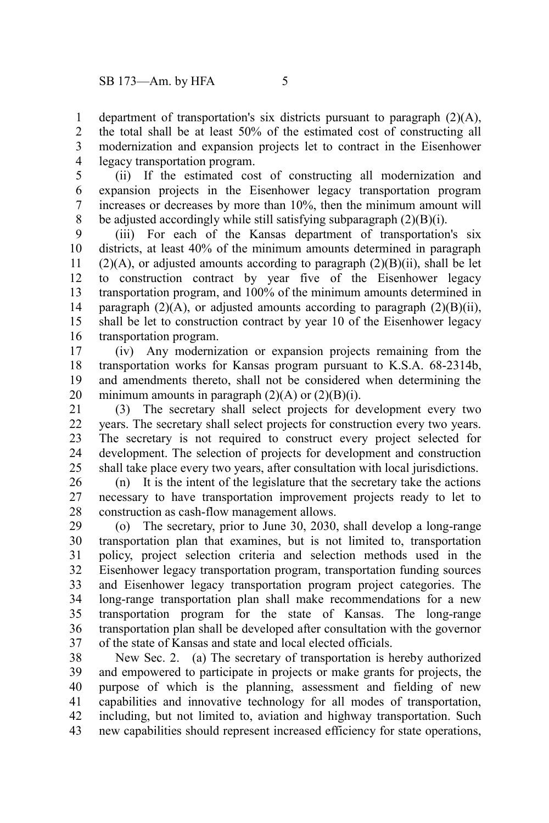department of transportation's six districts pursuant to paragraph (2)(A), the total shall be at least 50% of the estimated cost of constructing all modernization and expansion projects let to contract in the Eisenhower legacy transportation program. 1 2 3 4

(ii) If the estimated cost of constructing all modernization and expansion projects in the Eisenhower legacy transportation program increases or decreases by more than 10%, then the minimum amount will be adjusted accordingly while still satisfying subparagraph (2)(B)(i). 5 6 7 8

(iii) For each of the Kansas department of transportation's six districts, at least 40% of the minimum amounts determined in paragraph  $(2)(A)$ , or adjusted amounts according to paragraph  $(2)(B)(ii)$ , shall be let to construction contract by year five of the Eisenhower legacy transportation program, and 100% of the minimum amounts determined in paragraph  $(2)(A)$ , or adjusted amounts according to paragraph  $(2)(B)(ii)$ , shall be let to construction contract by year 10 of the Eisenhower legacy transportation program. 9 10 11 12 13 14 15 16

(iv) Any modernization or expansion projects remaining from the transportation works for Kansas program pursuant to K.S.A. 68-2314b, and amendments thereto, shall not be considered when determining the minimum amounts in paragraph  $(2)(A)$  or  $(2)(B)(i)$ . 17 18 19 20

(3) The secretary shall select projects for development every two years. The secretary shall select projects for construction every two years. The secretary is not required to construct every project selected for development. The selection of projects for development and construction shall take place every two years, after consultation with local jurisdictions. 21 22 23 24 25

(n) It is the intent of the legislature that the secretary take the actions necessary to have transportation improvement projects ready to let to construction as cash-flow management allows. 26 27 28

(o) The secretary, prior to June 30, 2030, shall develop a long-range transportation plan that examines, but is not limited to, transportation policy, project selection criteria and selection methods used in the Eisenhower legacy transportation program, transportation funding sources and Eisenhower legacy transportation program project categories. The long-range transportation plan shall make recommendations for a new transportation program for the state of Kansas. The long-range transportation plan shall be developed after consultation with the governor of the state of Kansas and state and local elected officials. 29 30 31 32 33 34 35 36 37

New Sec. 2. (a) The secretary of transportation is hereby authorized and empowered to participate in projects or make grants for projects, the purpose of which is the planning, assessment and fielding of new capabilities and innovative technology for all modes of transportation, including, but not limited to, aviation and highway transportation. Such new capabilities should represent increased efficiency for state operations, 38 39 40 41 42 43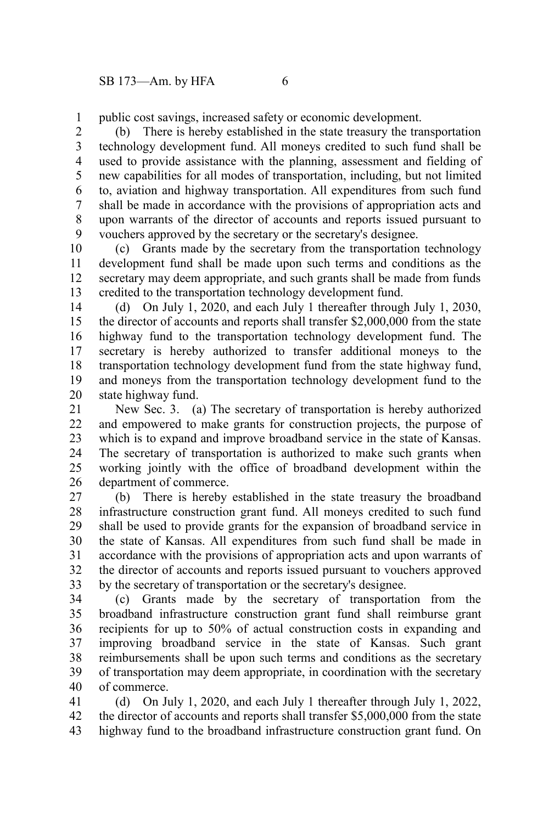public cost savings, increased safety or economic development. 1

(b) There is hereby established in the state treasury the transportation technology development fund. All moneys credited to such fund shall be used to provide assistance with the planning, assessment and fielding of new capabilities for all modes of transportation, including, but not limited to, aviation and highway transportation. All expenditures from such fund shall be made in accordance with the provisions of appropriation acts and upon warrants of the director of accounts and reports issued pursuant to vouchers approved by the secretary or the secretary's designee. 2 3 4 5 6 7 8 9

(c) Grants made by the secretary from the transportation technology development fund shall be made upon such terms and conditions as the secretary may deem appropriate, and such grants shall be made from funds credited to the transportation technology development fund. 10 11 12 13

(d) On July 1, 2020, and each July 1 thereafter through July 1, 2030, the director of accounts and reports shall transfer \$2,000,000 from the state highway fund to the transportation technology development fund. The secretary is hereby authorized to transfer additional moneys to the transportation technology development fund from the state highway fund, and moneys from the transportation technology development fund to the state highway fund. 14 15 16 17 18 19 20

New Sec. 3. (a) The secretary of transportation is hereby authorized and empowered to make grants for construction projects, the purpose of which is to expand and improve broadband service in the state of Kansas. The secretary of transportation is authorized to make such grants when working jointly with the office of broadband development within the department of commerce. 21 22 23 24 25 26

(b) There is hereby established in the state treasury the broadband infrastructure construction grant fund. All moneys credited to such fund shall be used to provide grants for the expansion of broadband service in the state of Kansas. All expenditures from such fund shall be made in accordance with the provisions of appropriation acts and upon warrants of the director of accounts and reports issued pursuant to vouchers approved by the secretary of transportation or the secretary's designee. 27 28 29 30 31 32 33

(c) Grants made by the secretary of transportation from the broadband infrastructure construction grant fund shall reimburse grant recipients for up to 50% of actual construction costs in expanding and improving broadband service in the state of Kansas. Such grant reimbursements shall be upon such terms and conditions as the secretary of transportation may deem appropriate, in coordination with the secretary of commerce. 34 35 36 37 38 39 40

(d) On July 1, 2020, and each July 1 thereafter through July 1, 2022, the director of accounts and reports shall transfer \$5,000,000 from the state highway fund to the broadband infrastructure construction grant fund. On 41 42 43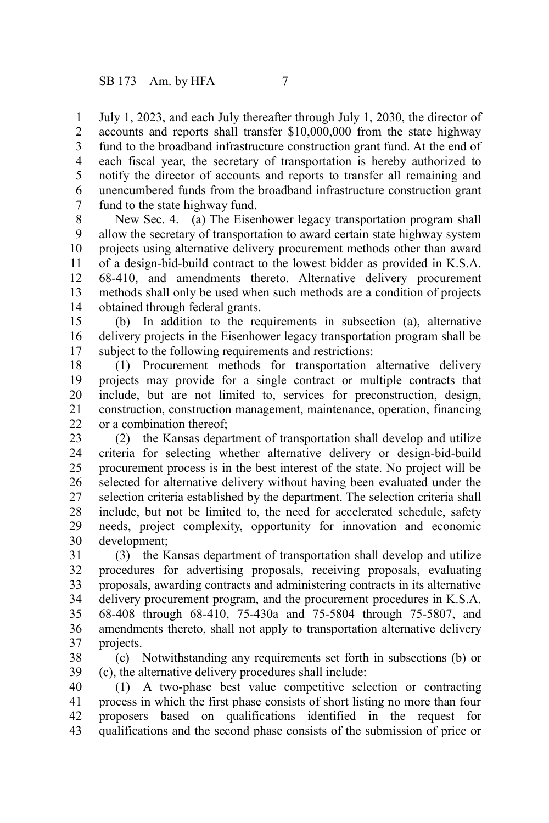July 1, 2023, and each July thereafter through July 1, 2030, the director of accounts and reports shall transfer \$10,000,000 from the state highway fund to the broadband infrastructure construction grant fund. At the end of each fiscal year, the secretary of transportation is hereby authorized to notify the director of accounts and reports to transfer all remaining and unencumbered funds from the broadband infrastructure construction grant fund to the state highway fund. 1 2 3 4 5 6 7

New Sec. 4. (a) The Eisenhower legacy transportation program shall allow the secretary of transportation to award certain state highway system projects using alternative delivery procurement methods other than award of a design-bid-build contract to the lowest bidder as provided in K.S.A. 68-410, and amendments thereto. Alternative delivery procurement methods shall only be used when such methods are a condition of projects obtained through federal grants. 8 9 10 11 12 13 14

(b) In addition to the requirements in subsection (a), alternative delivery projects in the Eisenhower legacy transportation program shall be subject to the following requirements and restrictions: 15 16 17

(1) Procurement methods for transportation alternative delivery projects may provide for a single contract or multiple contracts that include, but are not limited to, services for preconstruction, design, construction, construction management, maintenance, operation, financing or a combination thereof; 18 19 20 21 22

(2) the Kansas department of transportation shall develop and utilize criteria for selecting whether alternative delivery or design-bid-build procurement process is in the best interest of the state. No project will be selected for alternative delivery without having been evaluated under the selection criteria established by the department. The selection criteria shall include, but not be limited to, the need for accelerated schedule, safety needs, project complexity, opportunity for innovation and economic development; 23 24 25 26 27 28 29 30

(3) the Kansas department of transportation shall develop and utilize procedures for advertising proposals, receiving proposals, evaluating proposals, awarding contracts and administering contracts in its alternative delivery procurement program, and the procurement procedures in K.S.A. 68-408 through 68-410, 75-430a and 75-5804 through 75-5807, and amendments thereto, shall not apply to transportation alternative delivery projects. 31 32 33 34 35 36 37

(c) Notwithstanding any requirements set forth in subsections (b) or (c), the alternative delivery procedures shall include: 38 39

(1) A two-phase best value competitive selection or contracting process in which the first phase consists of short listing no more than four proposers based on qualifications identified in the request for qualifications and the second phase consists of the submission of price or 40 41 42 43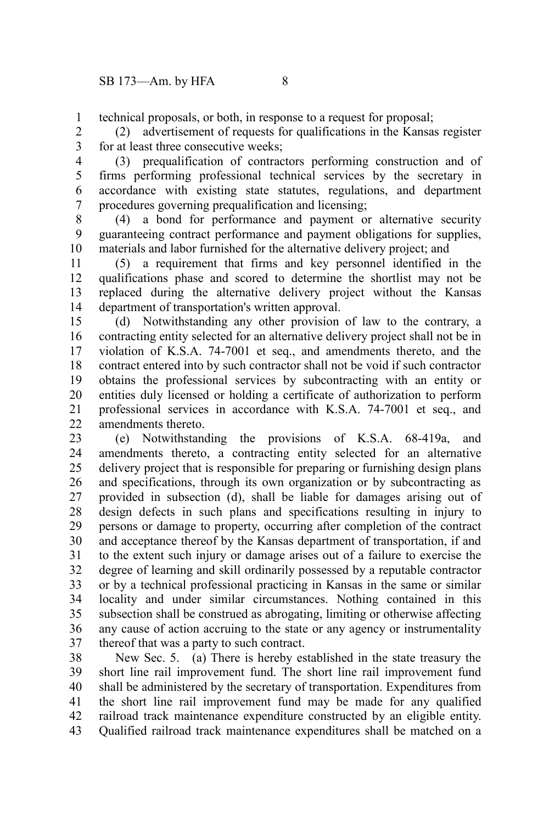technical proposals, or both, in response to a request for proposal; 1

(2) advertisement of requests for qualifications in the Kansas register for at least three consecutive weeks; 2 3

(3) prequalification of contractors performing construction and of firms performing professional technical services by the secretary in accordance with existing state statutes, regulations, and department procedures governing prequalification and licensing; 4 5 6 7

(4) a bond for performance and payment or alternative security guaranteeing contract performance and payment obligations for supplies, materials and labor furnished for the alternative delivery project; and 8 9 10

(5) a requirement that firms and key personnel identified in the qualifications phase and scored to determine the shortlist may not be replaced during the alternative delivery project without the Kansas department of transportation's written approval. 11 12 13 14

(d) Notwithstanding any other provision of law to the contrary, a contracting entity selected for an alternative delivery project shall not be in violation of K.S.A. 74-7001 et seq., and amendments thereto, and the contract entered into by such contractor shall not be void if such contractor obtains the professional services by subcontracting with an entity or entities duly licensed or holding a certificate of authorization to perform professional services in accordance with K.S.A. 74-7001 et seq., and amendments thereto. 15 16 17 18 19 20 21  $22$ 

(e) Notwithstanding the provisions of K.S.A. 68-419a, and amendments thereto, a contracting entity selected for an alternative delivery project that is responsible for preparing or furnishing design plans and specifications, through its own organization or by subcontracting as provided in subsection (d), shall be liable for damages arising out of design defects in such plans and specifications resulting in injury to persons or damage to property, occurring after completion of the contract and acceptance thereof by the Kansas department of transportation, if and to the extent such injury or damage arises out of a failure to exercise the degree of learning and skill ordinarily possessed by a reputable contractor or by a technical professional practicing in Kansas in the same or similar locality and under similar circumstances. Nothing contained in this subsection shall be construed as abrogating, limiting or otherwise affecting any cause of action accruing to the state or any agency or instrumentality thereof that was a party to such contract. 23 24 25 26 27 28 29 30 31 32 33 34 35 36 37

New Sec. 5. (a) There is hereby established in the state treasury the short line rail improvement fund. The short line rail improvement fund shall be administered by the secretary of transportation. Expenditures from the short line rail improvement fund may be made for any qualified railroad track maintenance expenditure constructed by an eligible entity. Qualified railroad track maintenance expenditures shall be matched on a 38 39 40 41 42 43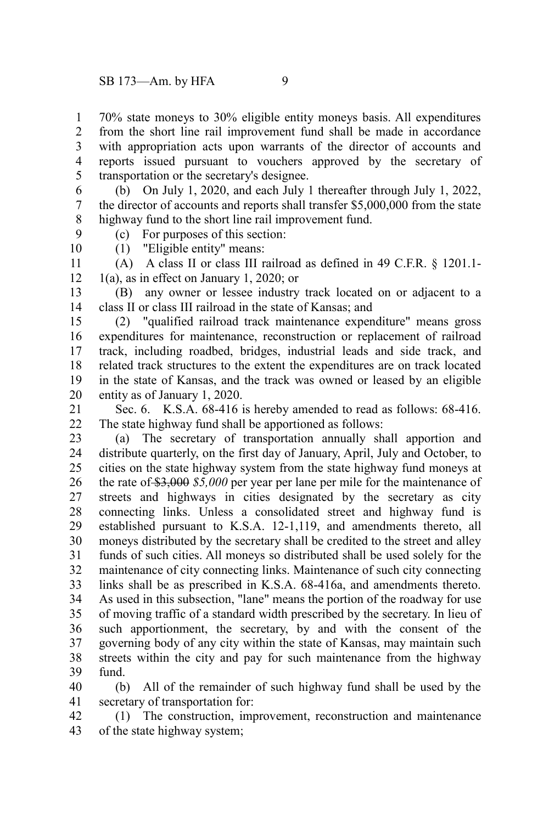70% state moneys to 30% eligible entity moneys basis. All expenditures from the short line rail improvement fund shall be made in accordance with appropriation acts upon warrants of the director of accounts and reports issued pursuant to vouchers approved by the secretary of transportation or the secretary's designee. 1 2 3 4 5

(b) On July 1, 2020, and each July 1 thereafter through July 1, 2022, the director of accounts and reports shall transfer \$5,000,000 from the state highway fund to the short line rail improvement fund. 6 7 8

9 10 (c) For purposes of this section: (1) "Eligible entity" means:

(A) A class II or class III railroad as defined in 49 C.F.R. § 1201.1- 1(a), as in effect on January 1, 2020; or 11 12

(B) any owner or lessee industry track located on or adjacent to a class II or class III railroad in the state of Kansas; and 13 14

(2) "qualified railroad track maintenance expenditure" means gross expenditures for maintenance, reconstruction or replacement of railroad track, including roadbed, bridges, industrial leads and side track, and related track structures to the extent the expenditures are on track located in the state of Kansas, and the track was owned or leased by an eligible entity as of January 1, 2020. 15 16 17 18 19 20

Sec. 6. K.S.A. 68-416 is hereby amended to read as follows: 68-416. The state highway fund shall be apportioned as follows: 21 22

(a) The secretary of transportation annually shall apportion and distribute quarterly, on the first day of January, April, July and October, to cities on the state highway system from the state highway fund moneys at the rate of \$3,000 *\$5,000* per year per lane per mile for the maintenance of streets and highways in cities designated by the secretary as city connecting links. Unless a consolidated street and highway fund is established pursuant to K.S.A. 12-1,119, and amendments thereto, all moneys distributed by the secretary shall be credited to the street and alley funds of such cities. All moneys so distributed shall be used solely for the maintenance of city connecting links. Maintenance of such city connecting links shall be as prescribed in K.S.A. 68-416a, and amendments thereto. As used in this subsection, "lane" means the portion of the roadway for use of moving traffic of a standard width prescribed by the secretary. In lieu of 23 24 25 26 27 28 29 30 31 32 33 34 35

such apportionment, the secretary, by and with the consent of the governing body of any city within the state of Kansas, may maintain such streets within the city and pay for such maintenance from the highway fund. 36 37 38 39

(b) All of the remainder of such highway fund shall be used by the secretary of transportation for: 40 41

(1) The construction, improvement, reconstruction and maintenance of the state highway system; 42 43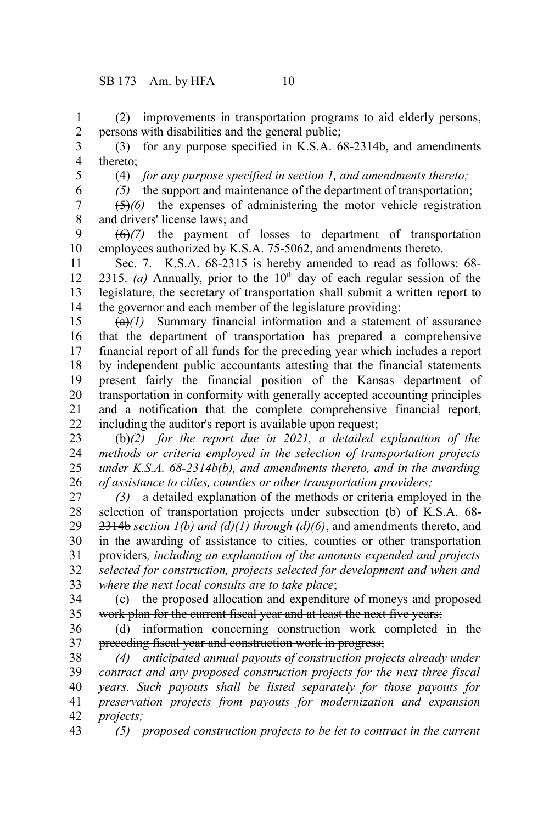(2) improvements in transportation programs to aid elderly persons, persons with disabilities and the general public; 1 2

(3) for any purpose specified in K.S.A. 68-2314b, and amendments thereto; 3 4

5

(4) *for any purpose specified in section 1, and amendments thereto;*

*(5)* the support and maintenance of the department of transportation;

(5)*(6)* the expenses of administering the motor vehicle registration and drivers' license laws; and 7 8

(6)*(7)* the payment of losses to department of transportation employees authorized by K.S.A. 75-5062, and amendments thereto. 9 10

Sec. 7. K.S.A.  $68-2315$  is hereby amended to read as follows:  $68-$ 2315. (a) Annually, prior to the  $10<sup>th</sup>$  day of each regular session of the legislature, the secretary of transportation shall submit a written report to the governor and each member of the legislature providing: 11 12 13 14

 $(a)(1)$  Summary financial information and a statement of assurance that the department of transportation has prepared a comprehensive financial report of all funds for the preceding year which includes a report by independent public accountants attesting that the financial statements present fairly the financial position of the Kansas department of transportation in conformity with generally accepted accounting principles and a notification that the complete comprehensive financial report, including the auditor's report is available upon request; 15 16 17 18 19 20 21 22

(b)*(2) for the report due in 2021, a detailed explanation of the methods or criteria employed in the selection of transportation projects under K.S.A. 68-2314b(b), and amendments thereto, and in the awarding of assistance to cities, counties or other transportation providers;* 23 24 25 26

*(3)* a detailed explanation of the methods or criteria employed in the selection of transportation projects under-subsection (b) of K.S.A. 68-2314b *section 1(b) and (d)(1) through (d)(6)*, and amendments thereto, and in the awarding of assistance to cities, counties or other transportation providers*, including an explanation of the amounts expended and projects selected for construction, projects selected for development and when and where the next local consults are to take place*; 27 28 29 30 31 32 33

(c) the proposed allocation and expenditure of moneys and proposed work plan for the current fiscal year and at least the next five years; 34 35

(d) information concerning construction work completed in the preceding fiscal year and construction work in progress; 36 37

*(4) anticipated annual payouts of construction projects already under contract and any proposed construction projects for the next three fiscal years. Such payouts shall be listed separately for those payouts for preservation projects from payouts for modernization and expansion projects;* 38 39 40 41 42

*(5) proposed construction projects to be let to contract in the current* 43

6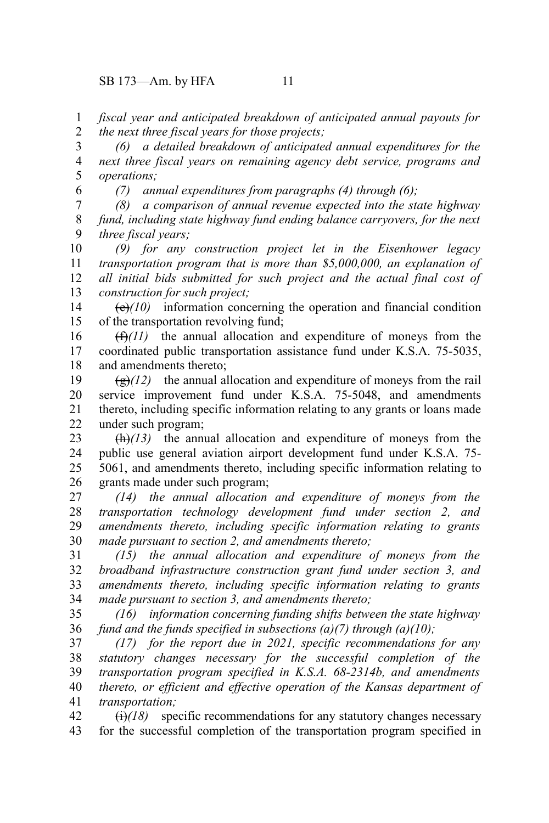6

*fiscal year and anticipated breakdown of anticipated annual payouts for the next three fiscal years for those projects;* 1 2

*(6) a detailed breakdown of anticipated annual expenditures for the next three fiscal years on remaining agency debt service, programs and operations;* 3 4 5

*(7) annual expenditures from paragraphs (4) through (6);*

*(8) a comparison of annual revenue expected into the state highway fund, including state highway fund ending balance carryovers, for the next three fiscal years;* 7 8 9

*(9) for any construction project let in the Eisenhower legacy transportation program that is more than \$5,000,000, an explanation of all initial bids submitted for such project and the actual final cost of construction for such project;* 10 11 12 13

 $(e)(10)$  information concerning the operation and financial condition of the transportation revolving fund; 14 15

(f)*(11)* the annual allocation and expenditure of moneys from the coordinated public transportation assistance fund under K.S.A. 75-5035, and amendments thereto; 16 17 18

 $\left(\frac{g}{g}\right)$  the annual allocation and expenditure of moneys from the rail service improvement fund under K.S.A. 75-5048, and amendments thereto, including specific information relating to any grants or loans made under such program; 19 20 21 22

(h)*(13)* the annual allocation and expenditure of moneys from the public use general aviation airport development fund under K.S.A. 75- 5061, and amendments thereto, including specific information relating to grants made under such program; 23 24 25 26

*(14) the annual allocation and expenditure of moneys from the transportation technology development fund under section 2, and amendments thereto, including specific information relating to grants made pursuant to section 2, and amendments thereto;* 27 28 29 30

*(15) the annual allocation and expenditure of moneys from the broadband infrastructure construction grant fund under section 3, and amendments thereto, including specific information relating to grants made pursuant to section 3, and amendments thereto;* 31 32 33 34

*(16) information concerning funding shifts between the state highway fund and the funds specified in subsections (a)(7) through (a)(10);* 35 36

*(17) for the report due in 2021, specific recommendations for any statutory changes necessary for the successful completion of the transportation program specified in K.S.A. 68-2314b, and amendments thereto, or efficient and effective operation of the Kansas department of transportation;* 37 38 39 40 41

 $\left(\frac{1}{2}\right)$  specific recommendations for any statutory changes necessary for the successful completion of the transportation program specified in 42 43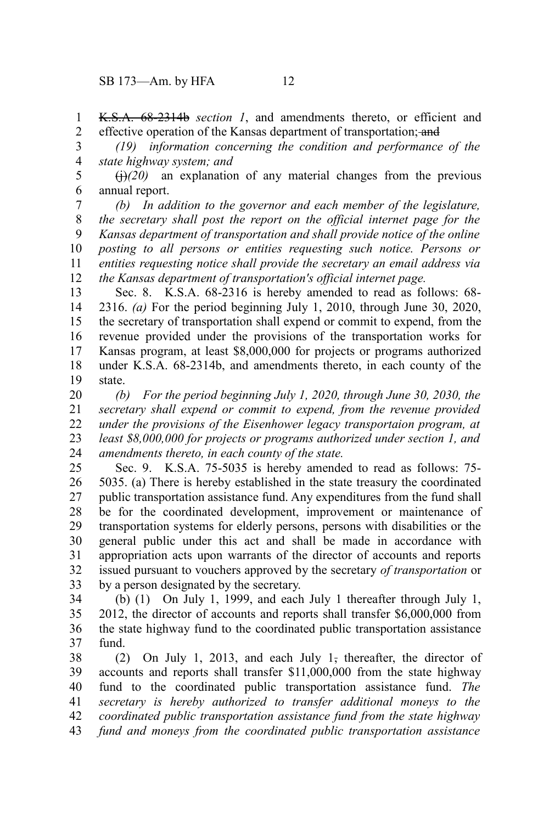K.S.A. 68-2314b *section 1*, and amendments thereto, or efficient and effective operation of the Kansas department of transportation; and 1 2

*(19) information concerning the condition and performance of the state highway system; and* 3 4

 $\left(\frac{1}{20}\right)$  an explanation of any material changes from the previous annual report. 5 6

*(b) In addition to the governor and each member of the legislature, the secretary shall post the report on the official internet page for the Kansas department of transportation and shall provide notice of the online posting to all persons or entities requesting such notice. Persons or entities requesting notice shall provide the secretary an email address via the Kansas department of transportation's official internet page.* 7 8 9 10 11 12

Sec. 8. K.S.A. 68-2316 is hereby amended to read as follows: 68- 2316. *(a)* For the period beginning July 1, 2010, through June 30, 2020, the secretary of transportation shall expend or commit to expend, from the revenue provided under the provisions of the transportation works for Kansas program, at least \$8,000,000 for projects or programs authorized under K.S.A. 68-2314b, and amendments thereto, in each county of the state. 13 14 15 16 17 18 19

*(b) For the period beginning July 1, 2020, through June 30, 2030, the secretary shall expend or commit to expend, from the revenue provided under the provisions of the Eisenhower legacy transportaion program, at least \$8,000,000 for projects or programs authorized under section 1, and amendments thereto, in each county of the state.* 20 21 22 23 24

Sec. 9. K.S.A. 75-5035 is hereby amended to read as follows: 75- 5035. (a) There is hereby established in the state treasury the coordinated public transportation assistance fund. Any expenditures from the fund shall be for the coordinated development, improvement or maintenance of transportation systems for elderly persons, persons with disabilities or the general public under this act and shall be made in accordance with appropriation acts upon warrants of the director of accounts and reports issued pursuant to vouchers approved by the secretary *of transportation* or by a person designated by the secretary. 25 26 27 28 29 30 31 32 33

(b) (1) On July 1, 1999, and each July 1 thereafter through July 1, 2012, the director of accounts and reports shall transfer \$6,000,000 from the state highway fund to the coordinated public transportation assistance fund. 34 35 36 37

(2) On July 1, 2013, and each July 1, thereafter, the director of accounts and reports shall transfer \$11,000,000 from the state highway fund to the coordinated public transportation assistance fund. *The secretary is hereby authorized to transfer additional moneys to the coordinated public transportation assistance fund from the state highway fund and moneys from the coordinated public transportation assistance* 38 39 40 41 42 43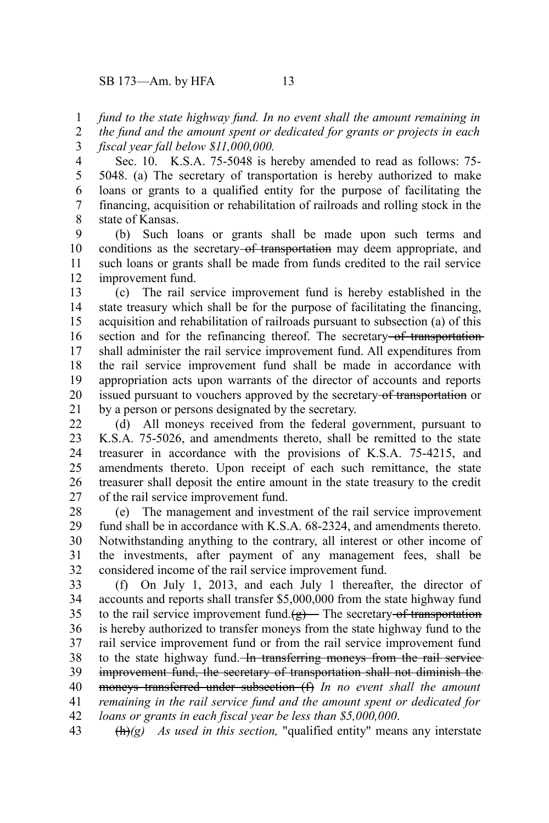*fund to the state highway fund. In no event shall the amount remaining in* 1

*the fund and the amount spent or dedicated for grants or projects in each fiscal year fall below \$11,000,000.* 2 3

Sec. 10. K.S.A. 75-5048 is hereby amended to read as follows: 75- 5048. (a) The secretary of transportation is hereby authorized to make loans or grants to a qualified entity for the purpose of facilitating the financing, acquisition or rehabilitation of railroads and rolling stock in the state of Kansas. 4 5 6 7 8

(b) Such loans or grants shall be made upon such terms and conditions as the secretary of transportation may deem appropriate, and such loans or grants shall be made from funds credited to the rail service improvement fund. 9 10 11 12

(c) The rail service improvement fund is hereby established in the state treasury which shall be for the purpose of facilitating the financing, acquisition and rehabilitation of railroads pursuant to subsection (a) of this section and for the refinancing thereof. The secretary of transportationshall administer the rail service improvement fund. All expenditures from the rail service improvement fund shall be made in accordance with appropriation acts upon warrants of the director of accounts and reports issued pursuant to vouchers approved by the secretary of transportation or by a person or persons designated by the secretary. 13 14 15 16 17 18 19 20 21

(d) All moneys received from the federal government, pursuant to K.S.A. 75-5026, and amendments thereto, shall be remitted to the state treasurer in accordance with the provisions of K.S.A. 75-4215, and amendments thereto. Upon receipt of each such remittance, the state treasurer shall deposit the entire amount in the state treasury to the credit of the rail service improvement fund. 22 23 24 25 26 27

(e) The management and investment of the rail service improvement fund shall be in accordance with K.S.A. 68-2324, and amendments thereto. Notwithstanding anything to the contrary, all interest or other income of the investments, after payment of any management fees, shall be considered income of the rail service improvement fund. 28 29 30 31 32

(f) On July 1, 2013, and each July 1 thereafter, the director of accounts and reports shall transfer \$5,000,000 from the state highway fund to the rail service improvement fund. $(g)$  The secretary of transportation is hereby authorized to transfer moneys from the state highway fund to the rail service improvement fund or from the rail service improvement fund to the state highway fund. In transferring moneys from the rail service improvement fund, the secretary of transportation shall not diminish the moneys transferred under subsection (f) *In no event shall the amount remaining in the rail service fund and the amount spent or dedicated for loans or grants in each fiscal year be less than \$5,000,000*. 33 34 35 36 37 38 39 40 41 42

 $\frac{f(h)}{g}$  *As used in this section,* "qualified entity" means any interstate 43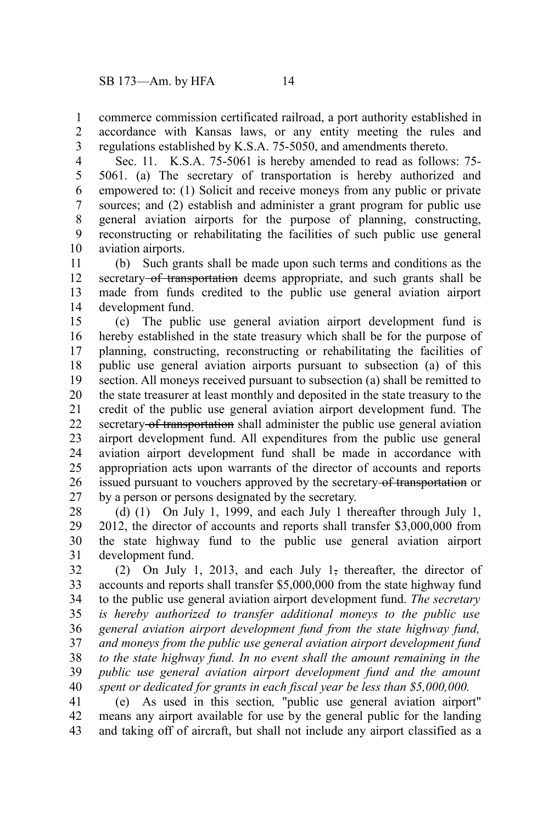commerce commission certificated railroad, a port authority established in accordance with Kansas laws, or any entity meeting the rules and regulations established by K.S.A. 75-5050, and amendments thereto. 1 2 3

Sec. 11. K.S.A. 75-5061 is hereby amended to read as follows: 75- 5061. (a) The secretary of transportation is hereby authorized and empowered to: (1) Solicit and receive moneys from any public or private sources; and (2) establish and administer a grant program for public use general aviation airports for the purpose of planning, constructing, reconstructing or rehabilitating the facilities of such public use general aviation airports. 4 5 6 7 8 9 10

(b) Such grants shall be made upon such terms and conditions as the secretary of transportation deems appropriate, and such grants shall be made from funds credited to the public use general aviation airport development fund. 11 12 13 14

(c) The public use general aviation airport development fund is hereby established in the state treasury which shall be for the purpose of planning, constructing, reconstructing or rehabilitating the facilities of public use general aviation airports pursuant to subsection (a) of this section. All moneys received pursuant to subsection (a) shall be remitted to the state treasurer at least monthly and deposited in the state treasury to the credit of the public use general aviation airport development fund. The secretary of transportation shall administer the public use general aviation airport development fund. All expenditures from the public use general aviation airport development fund shall be made in accordance with appropriation acts upon warrants of the director of accounts and reports issued pursuant to vouchers approved by the secretary of transportation or by a person or persons designated by the secretary. 15 16 17 18 19 20 21 22 23 24 25 26 27

(d) (1) On July 1, 1999, and each July 1 thereafter through July 1, 2012, the director of accounts and reports shall transfer \$3,000,000 from the state highway fund to the public use general aviation airport development fund. 28 29 30 31

(2) On July 1, 2013, and each July 1, thereafter, the director of accounts and reports shall transfer \$5,000,000 from the state highway fund to the public use general aviation airport development fund. *The secretary is hereby authorized to transfer additional moneys to the public use general aviation airport development fund from the state highway fund, and moneys from the public use general aviation airport development fund to the state highway fund. In no event shall the amount remaining in the public use general aviation airport development fund and the amount spent or dedicated for grants in each fiscal year be less than \$5,000,000.* 32 33 34 35 36 37 38 39 40

(e) As used in this section*,* "public use general aviation airport" means any airport available for use by the general public for the landing and taking off of aircraft, but shall not include any airport classified as a 41 42 43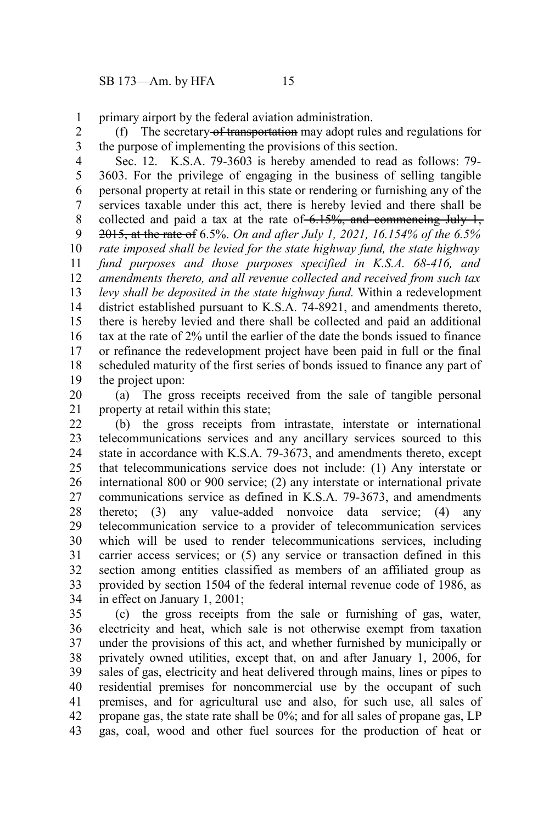primary airport by the federal aviation administration. 1

(f) The secretary of transportation may adopt rules and regulations for the purpose of implementing the provisions of this section. 2 3

Sec. 12. K.S.A. 79-3603 is hereby amended to read as follows: 79- 3603. For the privilege of engaging in the business of selling tangible personal property at retail in this state or rendering or furnishing any of the services taxable under this act, there is hereby levied and there shall be collected and paid a tax at the rate of  $6.15\%$ , and commencing July 1, 2015, at the rate of 6.5%. *On and after July 1, 2021, 16.154% of the 6.5% rate imposed shall be levied for the state highway fund, the state highway fund purposes and those purposes specified in K.S.A. 68-416, and amendments thereto, and all revenue collected and received from such tax levy shall be deposited in the state highway fund.* Within a redevelopment district established pursuant to K.S.A. 74-8921, and amendments thereto, there is hereby levied and there shall be collected and paid an additional tax at the rate of 2% until the earlier of the date the bonds issued to finance or refinance the redevelopment project have been paid in full or the final scheduled maturity of the first series of bonds issued to finance any part of the project upon: 4 5 6 7 8 9 10 11 12 13 14 15 16 17 18 19

(a) The gross receipts received from the sale of tangible personal property at retail within this state; 20 21

(b) the gross receipts from intrastate, interstate or international telecommunications services and any ancillary services sourced to this state in accordance with K.S.A. 79-3673, and amendments thereto, except that telecommunications service does not include: (1) Any interstate or international 800 or 900 service; (2) any interstate or international private communications service as defined in K.S.A. 79-3673, and amendments thereto; (3) any value-added nonvoice data service; (4) any telecommunication service to a provider of telecommunication services which will be used to render telecommunications services, including carrier access services; or (5) any service or transaction defined in this section among entities classified as members of an affiliated group as provided by section 1504 of the federal internal revenue code of 1986, as in effect on January 1, 2001; 22 23 24 25 26 27 28 29 30 31 32 33 34

(c) the gross receipts from the sale or furnishing of gas, water, electricity and heat, which sale is not otherwise exempt from taxation under the provisions of this act, and whether furnished by municipally or privately owned utilities, except that, on and after January 1, 2006, for sales of gas, electricity and heat delivered through mains, lines or pipes to residential premises for noncommercial use by the occupant of such premises, and for agricultural use and also, for such use, all sales of propane gas, the state rate shall be 0%; and for all sales of propane gas, LP gas, coal, wood and other fuel sources for the production of heat or 35 36 37 38 39 40 41 42 43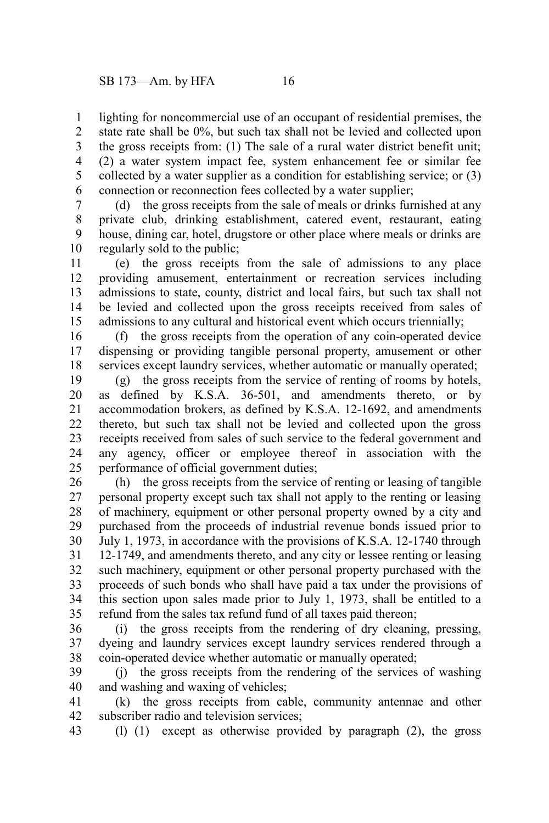lighting for noncommercial use of an occupant of residential premises, the state rate shall be 0%, but such tax shall not be levied and collected upon the gross receipts from: (1) The sale of a rural water district benefit unit; (2) a water system impact fee, system enhancement fee or similar fee collected by a water supplier as a condition for establishing service; or (3) connection or reconnection fees collected by a water supplier; 1 2 3 4 5 6

(d) the gross receipts from the sale of meals or drinks furnished at any private club, drinking establishment, catered event, restaurant, eating house, dining car, hotel, drugstore or other place where meals or drinks are regularly sold to the public; 7 8 9 10

(e) the gross receipts from the sale of admissions to any place providing amusement, entertainment or recreation services including admissions to state, county, district and local fairs, but such tax shall not be levied and collected upon the gross receipts received from sales of admissions to any cultural and historical event which occurs triennially; 11 12 13 14 15

(f) the gross receipts from the operation of any coin-operated device dispensing or providing tangible personal property, amusement or other services except laundry services, whether automatic or manually operated; 16 17 18

(g) the gross receipts from the service of renting of rooms by hotels, as defined by K.S.A. 36-501, and amendments thereto, or by accommodation brokers, as defined by K.S.A. 12-1692, and amendments thereto, but such tax shall not be levied and collected upon the gross receipts received from sales of such service to the federal government and any agency, officer or employee thereof in association with the performance of official government duties; 19 20 21 22 23 24 25

(h) the gross receipts from the service of renting or leasing of tangible personal property except such tax shall not apply to the renting or leasing of machinery, equipment or other personal property owned by a city and purchased from the proceeds of industrial revenue bonds issued prior to July 1, 1973, in accordance with the provisions of K.S.A. 12-1740 through 12-1749, and amendments thereto, and any city or lessee renting or leasing such machinery, equipment or other personal property purchased with the proceeds of such bonds who shall have paid a tax under the provisions of this section upon sales made prior to July 1, 1973, shall be entitled to a refund from the sales tax refund fund of all taxes paid thereon; 26 27 28 29 30 31 32 33 34 35

(i) the gross receipts from the rendering of dry cleaning, pressing, dyeing and laundry services except laundry services rendered through a coin-operated device whether automatic or manually operated; 36 37 38

(j) the gross receipts from the rendering of the services of washing and washing and waxing of vehicles; 39 40

(k) the gross receipts from cable, community antennae and other subscriber radio and television services; 41 42

(l) (1) except as otherwise provided by paragraph (2), the gross

43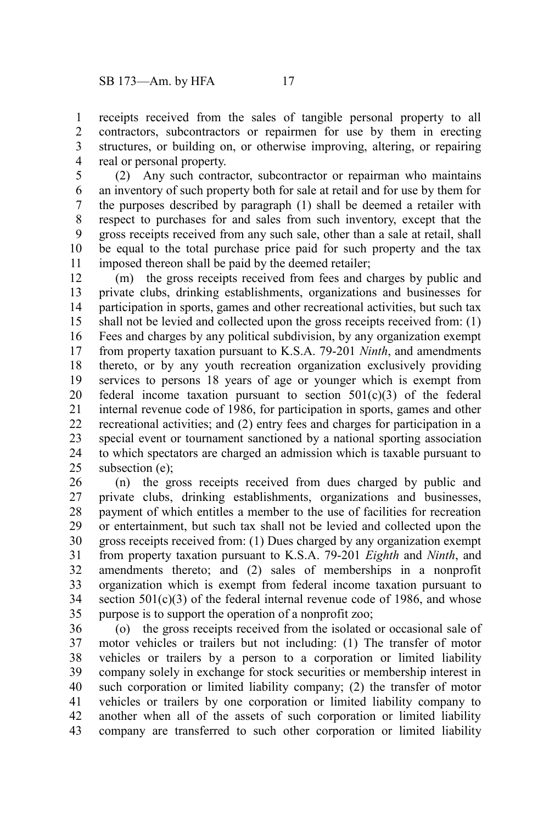receipts received from the sales of tangible personal property to all contractors, subcontractors or repairmen for use by them in erecting structures, or building on, or otherwise improving, altering, or repairing real or personal property. 1 2 3 4

(2) Any such contractor, subcontractor or repairman who maintains an inventory of such property both for sale at retail and for use by them for the purposes described by paragraph (1) shall be deemed a retailer with respect to purchases for and sales from such inventory, except that the gross receipts received from any such sale, other than a sale at retail, shall be equal to the total purchase price paid for such property and the tax imposed thereon shall be paid by the deemed retailer; 5 6 7 8 9 10 11

(m) the gross receipts received from fees and charges by public and private clubs, drinking establishments, organizations and businesses for participation in sports, games and other recreational activities, but such tax shall not be levied and collected upon the gross receipts received from: (1) Fees and charges by any political subdivision, by any organization exempt from property taxation pursuant to K.S.A. 79-201 *Ninth*, and amendments thereto, or by any youth recreation organization exclusively providing services to persons 18 years of age or younger which is exempt from federal income taxation pursuant to section  $501(c)(3)$  of the federal internal revenue code of 1986, for participation in sports, games and other recreational activities; and (2) entry fees and charges for participation in a special event or tournament sanctioned by a national sporting association to which spectators are charged an admission which is taxable pursuant to subsection (e); 12 13 14 15 16 17 18 19 20 21 22 23 24 25

(n) the gross receipts received from dues charged by public and private clubs, drinking establishments, organizations and businesses, payment of which entitles a member to the use of facilities for recreation or entertainment, but such tax shall not be levied and collected upon the gross receipts received from: (1) Dues charged by any organization exempt from property taxation pursuant to K.S.A. 79-201 *Eighth* and *Ninth*, and amendments thereto; and (2) sales of memberships in a nonprofit organization which is exempt from federal income taxation pursuant to section  $501(c)(3)$  of the federal internal revenue code of 1986, and whose purpose is to support the operation of a nonprofit zoo; 26 27 28 29 30 31 32 33 34 35

(o) the gross receipts received from the isolated or occasional sale of motor vehicles or trailers but not including: (1) The transfer of motor vehicles or trailers by a person to a corporation or limited liability company solely in exchange for stock securities or membership interest in such corporation or limited liability company; (2) the transfer of motor vehicles or trailers by one corporation or limited liability company to another when all of the assets of such corporation or limited liability company are transferred to such other corporation or limited liability 36 37 38 39 40 41 42 43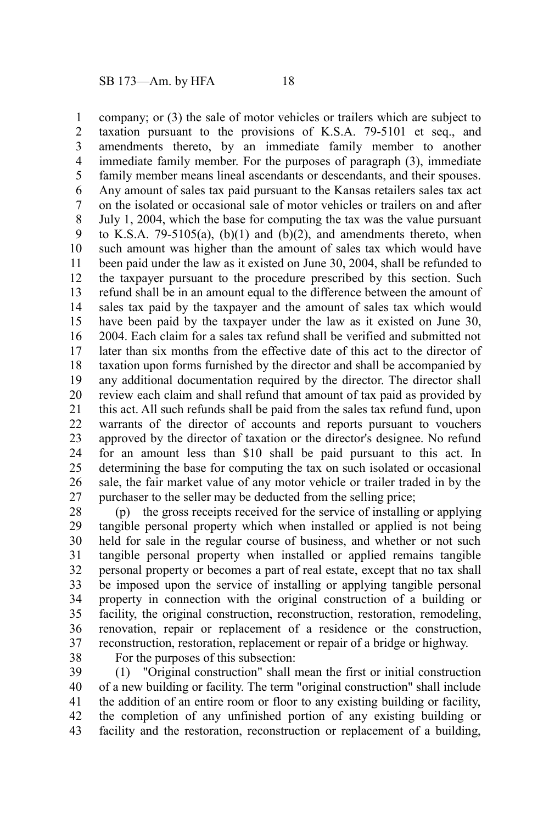company; or (3) the sale of motor vehicles or trailers which are subject to taxation pursuant to the provisions of K.S.A. 79-5101 et seq., and amendments thereto, by an immediate family member to another immediate family member. For the purposes of paragraph (3), immediate family member means lineal ascendants or descendants, and their spouses. Any amount of sales tax paid pursuant to the Kansas retailers sales tax act on the isolated or occasional sale of motor vehicles or trailers on and after July 1, 2004, which the base for computing the tax was the value pursuant to K.S.A. 79-5105(a),  $(b)(1)$  and  $(b)(2)$ , and amendments thereto, when such amount was higher than the amount of sales tax which would have been paid under the law as it existed on June 30, 2004, shall be refunded to the taxpayer pursuant to the procedure prescribed by this section. Such refund shall be in an amount equal to the difference between the amount of sales tax paid by the taxpayer and the amount of sales tax which would have been paid by the taxpayer under the law as it existed on June 30, 2004. Each claim for a sales tax refund shall be verified and submitted not later than six months from the effective date of this act to the director of taxation upon forms furnished by the director and shall be accompanied by any additional documentation required by the director. The director shall review each claim and shall refund that amount of tax paid as provided by this act. All such refunds shall be paid from the sales tax refund fund, upon warrants of the director of accounts and reports pursuant to vouchers approved by the director of taxation or the director's designee. No refund for an amount less than \$10 shall be paid pursuant to this act. In determining the base for computing the tax on such isolated or occasional sale, the fair market value of any motor vehicle or trailer traded in by the purchaser to the seller may be deducted from the selling price; 1 2 3 4 5 6 7 8 9 10 11 12 13 14 15 16 17 18 19 20 21 22 23 24 25 26 27

(p) the gross receipts received for the service of installing or applying tangible personal property which when installed or applied is not being held for sale in the regular course of business, and whether or not such tangible personal property when installed or applied remains tangible personal property or becomes a part of real estate, except that no tax shall be imposed upon the service of installing or applying tangible personal property in connection with the original construction of a building or facility, the original construction, reconstruction, restoration, remodeling, renovation, repair or replacement of a residence or the construction, reconstruction, restoration, replacement or repair of a bridge or highway. 28 29 30 31 32 33 34 35 36 37

38

For the purposes of this subsection:

(1) "Original construction" shall mean the first or initial construction of a new building or facility. The term "original construction" shall include the addition of an entire room or floor to any existing building or facility, the completion of any unfinished portion of any existing building or facility and the restoration, reconstruction or replacement of a building, 39 40 41 42 43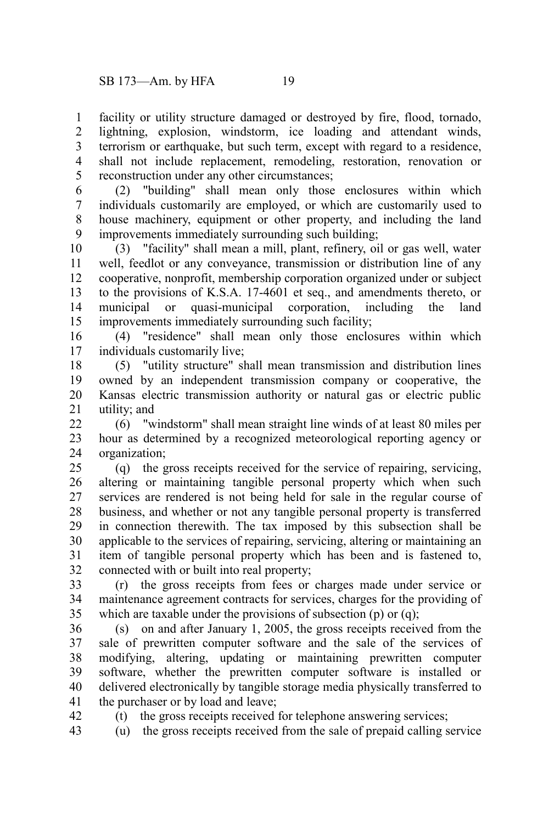facility or utility structure damaged or destroyed by fire, flood, tornado, lightning, explosion, windstorm, ice loading and attendant winds, terrorism or earthquake, but such term, except with regard to a residence, shall not include replacement, remodeling, restoration, renovation or reconstruction under any other circumstances; 1 2 3 4 5

(2) "building" shall mean only those enclosures within which individuals customarily are employed, or which are customarily used to house machinery, equipment or other property, and including the land improvements immediately surrounding such building; 6 7 8 9

(3) "facility" shall mean a mill, plant, refinery, oil or gas well, water well, feedlot or any conveyance, transmission or distribution line of any cooperative, nonprofit, membership corporation organized under or subject to the provisions of K.S.A. 17-4601 et seq., and amendments thereto, or municipal or quasi-municipal corporation, including the land improvements immediately surrounding such facility; 10 11 12 13 14 15

(4) "residence" shall mean only those enclosures within which individuals customarily live; 16 17

(5) "utility structure" shall mean transmission and distribution lines owned by an independent transmission company or cooperative, the Kansas electric transmission authority or natural gas or electric public utility; and 18 19 20 21

(6) "windstorm" shall mean straight line winds of at least 80 miles per hour as determined by a recognized meteorological reporting agency or organization; 22 23 24

(q) the gross receipts received for the service of repairing, servicing, altering or maintaining tangible personal property which when such services are rendered is not being held for sale in the regular course of business, and whether or not any tangible personal property is transferred in connection therewith. The tax imposed by this subsection shall be applicable to the services of repairing, servicing, altering or maintaining an item of tangible personal property which has been and is fastened to, connected with or built into real property; 25 26 27 28 29 30 31 32

(r) the gross receipts from fees or charges made under service or maintenance agreement contracts for services, charges for the providing of which are taxable under the provisions of subsection (p) or (q); 33 34 35

(s) on and after January 1, 2005, the gross receipts received from the sale of prewritten computer software and the sale of the services of modifying, altering, updating or maintaining prewritten computer software, whether the prewritten computer software is installed or delivered electronically by tangible storage media physically transferred to the purchaser or by load and leave; 36 37 38 39 40 41

(t) the gross receipts received for telephone answering services; 42

(u) the gross receipts received from the sale of prepaid calling service 43